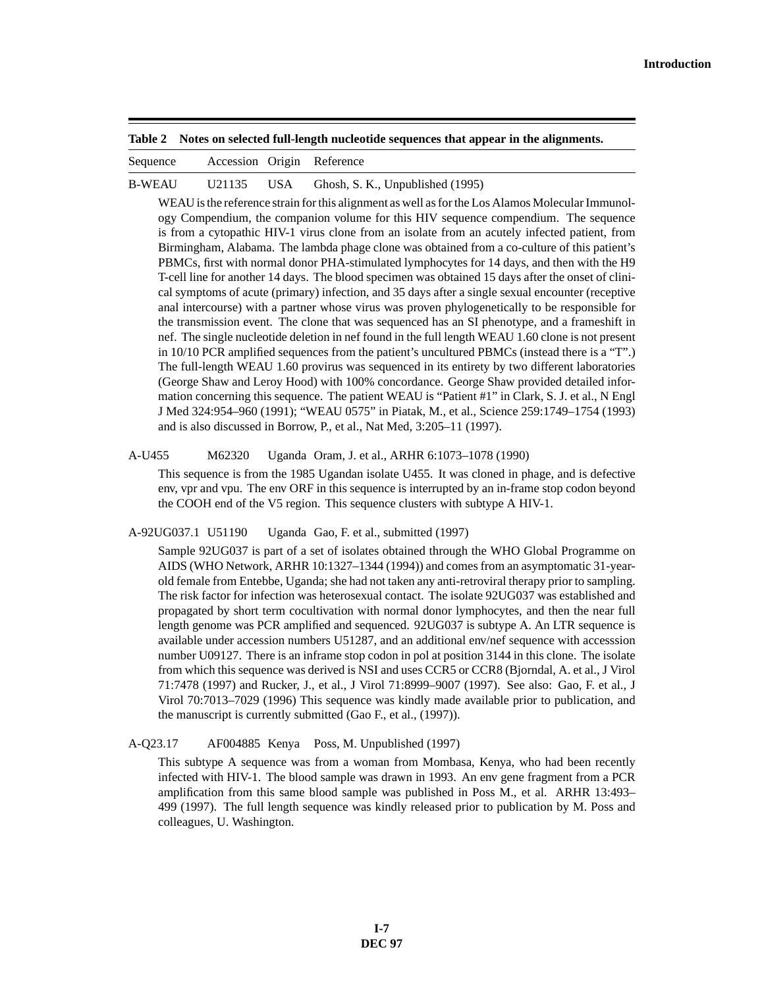**Table 2 Notes on selected full-length nucleotide sequences that appear in the alignments.**

|  | Sequence | Accession Origin |  | Reference |
|--|----------|------------------|--|-----------|
|--|----------|------------------|--|-----------|

B-WEAU U21135 USA Ghosh, S. K., Unpublished (1995)

WEAU is the reference strain for this alignment as well as for the Los Alamos Molecular Immunology Compendium, the companion volume for this HIV sequence compendium. The sequence is from a cytopathic HIV-1 virus clone from an isolate from an acutely infected patient, from Birmingham, Alabama. The lambda phage clone was obtained from a co-culture of this patient's PBMCs, first with normal donor PHA-stimulated lymphocytes for 14 days, and then with the H9 T-cell line for another 14 days. The blood specimen was obtained 15 days after the onset of clinical symptoms of acute (primary) infection, and 35 days after a single sexual encounter (receptive anal intercourse) with a partner whose virus was proven phylogenetically to be responsible for the transmission event. The clone that was sequenced has an SI phenotype, and a frameshift in nef. The single nucleotide deletion in nef found in the full length WEAU 1.60 clone is not present in 10/10 PCR amplified sequences from the patient's uncultured PBMCs (instead there is a "T".) The full-length WEAU 1.60 provirus was sequenced in its entirety by two different laboratories (George Shaw and Leroy Hood) with 100% concordance. George Shaw provided detailed information concerning this sequence. The patient WEAU is "Patient #1" in Clark, S. J. et al., N Engl J Med 324:954–960 (1991); "WEAU 0575" in Piatak, M., et al., Science 259:1749–1754 (1993) and is also discussed in Borrow, P., et al., Nat Med, 3:205–11 (1997).

A-U455 M62320 Uganda Oram, J. et al., ARHR 6:1073–1078 (1990)

This sequence is from the 1985 Ugandan isolate U455. It was cloned in phage, and is defective env, vpr and vpu. The env ORF in this sequence is interrupted by an in-frame stop codon beyond the COOH end of the V5 region. This sequence clusters with subtype A HIV-1.

A-92UG037.1 U51190 Uganda Gao, F. et al., submitted (1997)

Sample 92UG037 is part of a set of isolates obtained through the WHO Global Programme on AIDS (WHO Network, ARHR 10:1327–1344 (1994)) and comes from an asymptomatic 31-yearold female from Entebbe, Uganda; she had not taken any anti-retroviral therapy prior to sampling. The risk factor for infection was heterosexual contact. The isolate 92UG037 was established and propagated by short term cocultivation with normal donor lymphocytes, and then the near full length genome was PCR amplified and sequenced. 92UG037 is subtype A. An LTR sequence is available under accession numbers U51287, and an additional env/nef sequence with accesssion number U09127. There is an inframe stop codon in pol at position 3144 in this clone. The isolate from which this sequence was derived is NSI and uses CCR5 or CCR8 (Bjorndal, A. et al., J Virol 71:7478 (1997) and Rucker, J., et al., J Virol 71:8999–9007 (1997). See also: Gao, F. et al., J Virol 70:7013–7029 (1996) This sequence was kindly made available prior to publication, and the manuscript is currently submitted (Gao F., et al., (1997)).

A-Q23.17 AF004885 Kenya Poss, M. Unpublished (1997)

This subtype A sequence was from a woman from Mombasa, Kenya, who had been recently infected with HIV-1. The blood sample was drawn in 1993. An env gene fragment from a PCR amplification from this same blood sample was published in Poss M., et al. ARHR 13:493– 499 (1997). The full length sequence was kindly released prior to publication by M. Poss and colleagues, U. Washington.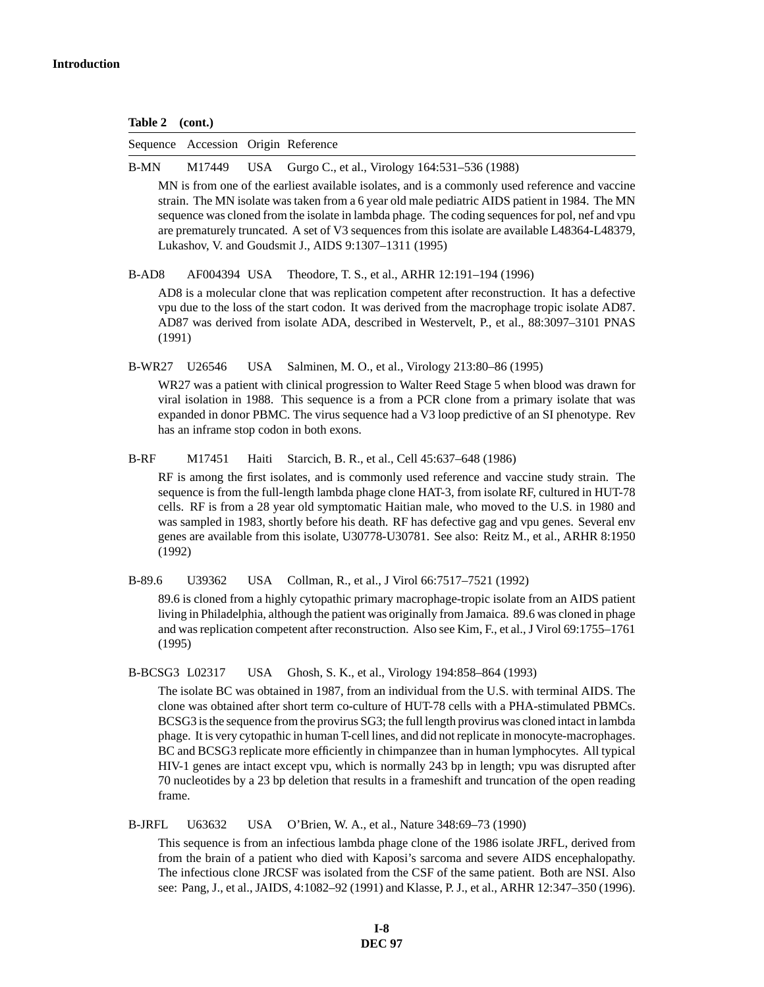| <b>Table 2</b> | (cont.) |
|----------------|---------|
|----------------|---------|

|                   | Sequence Accession Origin Reference |            |                                                                                                                                                                                                                                                                                                                                                                                                                                                                                                                                                                                                                                                                                                                 |
|-------------------|-------------------------------------|------------|-----------------------------------------------------------------------------------------------------------------------------------------------------------------------------------------------------------------------------------------------------------------------------------------------------------------------------------------------------------------------------------------------------------------------------------------------------------------------------------------------------------------------------------------------------------------------------------------------------------------------------------------------------------------------------------------------------------------|
| <b>B-MN</b>       | M17449                              | <b>USA</b> | Gurgo C., et al., Virology 164:531-536 (1988)                                                                                                                                                                                                                                                                                                                                                                                                                                                                                                                                                                                                                                                                   |
|                   |                                     |            | MN is from one of the earliest available isolates, and is a commonly used reference and vaccine<br>strain. The MN isolate was taken from a 6 year old male pediatric AIDS patient in 1984. The MN<br>sequence was cloned from the isolate in lambda phage. The coding sequences for pol, nef and vpu<br>are prematurely truncated. A set of V3 sequences from this isolate are available L48364-L48379,<br>Lukashov, V. and Goudsmit J., AIDS 9:1307-1311 (1995)                                                                                                                                                                                                                                                |
| B-AD <sub>8</sub> | AF004394 USA                        |            | Theodore, T. S., et al., ARHR 12:191-194 (1996)                                                                                                                                                                                                                                                                                                                                                                                                                                                                                                                                                                                                                                                                 |
| (1991)            |                                     |            | AD8 is a molecular clone that was replication competent after reconstruction. It has a defective<br>vpu due to the loss of the start codon. It was derived from the macrophage tropic isolate AD87.<br>AD87 was derived from isolate ADA, described in Westervelt, P., et al., 88:3097-3101 PNAS                                                                                                                                                                                                                                                                                                                                                                                                                |
| <b>B-WR27</b>     | U26546                              | <b>USA</b> | Salminen, M. O., et al., Virology 213:80-86 (1995)                                                                                                                                                                                                                                                                                                                                                                                                                                                                                                                                                                                                                                                              |
|                   |                                     |            | WR27 was a patient with clinical progression to Walter Reed Stage 5 when blood was drawn for<br>viral isolation in 1988. This sequence is a from a PCR clone from a primary isolate that was<br>expanded in donor PBMC. The virus sequence had a V3 loop predictive of an SI phenotype. Rev<br>has an inframe stop codon in both exons.                                                                                                                                                                                                                                                                                                                                                                         |
| <b>B-RF</b>       | M17451                              | Haiti      | Starcich, B. R., et al., Cell 45:637–648 (1986)                                                                                                                                                                                                                                                                                                                                                                                                                                                                                                                                                                                                                                                                 |
| (1992)            |                                     |            | RF is among the first isolates, and is commonly used reference and vaccine study strain. The<br>sequence is from the full-length lambda phage clone HAT-3, from isolate RF, cultured in HUT-78<br>cells. RF is from a 28 year old symptomatic Haitian male, who moved to the U.S. in 1980 and<br>was sampled in 1983, shortly before his death. RF has defective gag and vpu genes. Several env<br>genes are available from this isolate, U30778-U30781. See also: Reitz M., et al., ARHR 8:1950                                                                                                                                                                                                                |
| $B-89.6$          | U39362                              | <b>USA</b> | Collman, R., et al., J Virol 66:7517-7521 (1992)                                                                                                                                                                                                                                                                                                                                                                                                                                                                                                                                                                                                                                                                |
| (1995)            |                                     |            | 89.6 is cloned from a highly cytopathic primary macrophage-tropic isolate from an AIDS patient<br>living in Philadelphia, although the patient was originally from Jamaica. 89.6 was cloned in phage<br>and was replication competent after reconstruction. Also see Kim, F., et al., J Virol 69:1755-1761                                                                                                                                                                                                                                                                                                                                                                                                      |
| B-BCSG3 L02317    |                                     | <b>USA</b> | Ghosh, S. K., et al., Virology 194:858-864 (1993)                                                                                                                                                                                                                                                                                                                                                                                                                                                                                                                                                                                                                                                               |
| frame.            |                                     |            | The isolate BC was obtained in 1987, from an individual from the U.S. with terminal AIDS. The<br>clone was obtained after short term co-culture of HUT-78 cells with a PHA-stimulated PBMCs.<br>BCSG3 is the sequence from the provirus SG3; the full length provirus was cloned intact in lambda<br>phage. It is very cytopathic in human T-cell lines, and did not replicate in monocyte-macrophages.<br>BC and BCSG3 replicate more efficiently in chimpanzee than in human lymphocytes. All typical<br>HIV-1 genes are intact except vpu, which is normally 243 bp in length; vpu was disrupted after<br>70 nucleotides by a 23 bp deletion that results in a frameshift and truncation of the open reading |
| <b>B-JRFL</b>     | U63632                              | <b>USA</b> | O'Brien, W. A., et al., Nature 348:69-73 (1990)                                                                                                                                                                                                                                                                                                                                                                                                                                                                                                                                                                                                                                                                 |

This sequence is from an infectious lambda phage clone of the 1986 isolate JRFL, derived from from the brain of a patient who died with Kaposi's sarcoma and severe AIDS encephalopathy. The infectious clone JRCSF was isolated from the CSF of the same patient. Both are NSI. Also see: Pang, J., et al., JAIDS, 4:1082–92 (1991) and Klasse, P. J., et al., ARHR 12:347–350 (1996).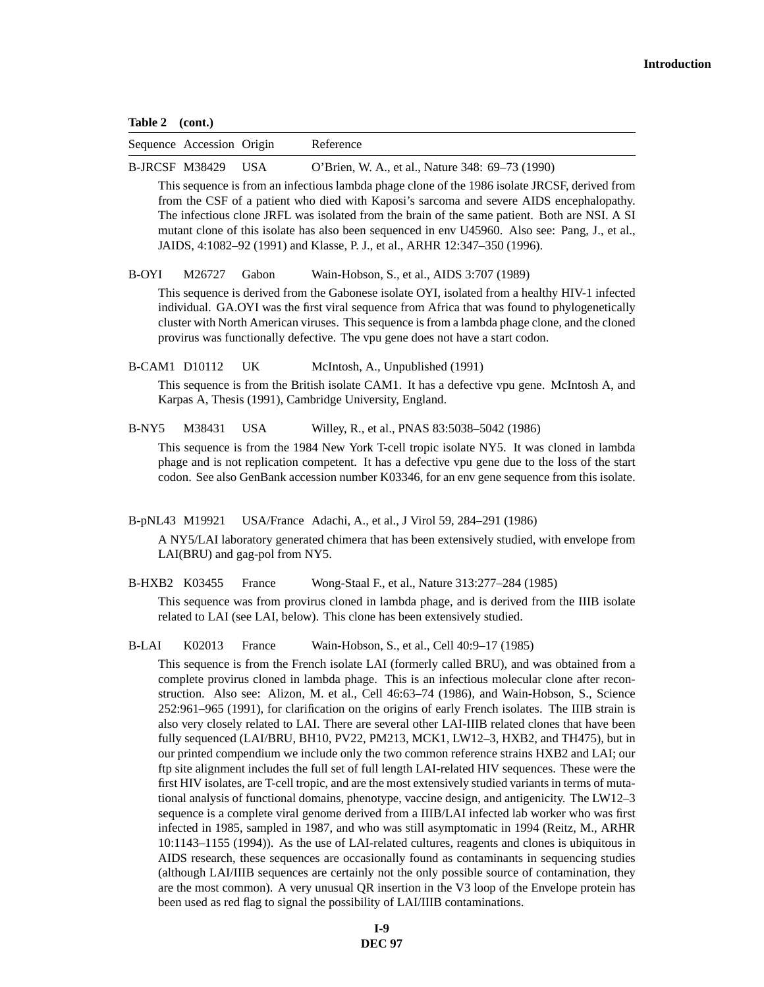#### **Table 2 (cont.)**

| Sequence Accession Origin | Reference |
|---------------------------|-----------|
|                           |           |

B-JRCSF M38429 USA O'Brien, W. A., et al., Nature 348: 69–73 (1990)

This sequence is from an infectious lambda phage clone of the 1986 isolate JRCSF, derived from from the CSF of a patient who died with Kaposi's sarcoma and severe AIDS encephalopathy. The infectious clone JRFL was isolated from the brain of the same patient. Both are NSI. A SI mutant clone of this isolate has also been sequenced in env U45960. Also see: Pang, J., et al., JAIDS, 4:1082–92 (1991) and Klasse, P. J., et al., ARHR 12:347–350 (1996).

B-OYI M26727 Gabon Wain-Hobson, S., et al., AIDS 3:707 (1989)

This sequence is derived from the Gabonese isolate OYI, isolated from a healthy HIV-1 infected individual. GA.OYI was the first viral sequence from Africa that was found to phylogenetically cluster with North American viruses. This sequence is from a lambda phage clone, and the cloned provirus was functionally defective. The vpu gene does not have a start codon.

B-CAM1 D10112 UK McIntosh, A., Unpublished (1991)

This sequence is from the British isolate CAM1. It has a defective vpu gene. McIntosh A, and Karpas A, Thesis (1991), Cambridge University, England.

B-NY5 M38431 USA Willey, R., et al., PNAS 83:5038–5042 (1986)

This sequence is from the 1984 New York T-cell tropic isolate NY5. It was cloned in lambda phage and is not replication competent. It has a defective vpu gene due to the loss of the start codon. See also GenBank accession number K03346, for an env gene sequence from this isolate.

B-pNL43 M19921 USA/France Adachi, A., et al., J Virol 59, 284–291 (1986)

A NY5/LAI laboratory generated chimera that has been extensively studied, with envelope from LAI(BRU) and gag-pol from NY5.

B-HXB2 K03455 France Wong-Staal F., et al., Nature 313:277–284 (1985)

This sequence was from provirus cloned in lambda phage, and is derived from the IIIB isolate related to LAI (see LAI, below). This clone has been extensively studied.

B-LAI K02013 France Wain-Hobson, S., et al., Cell 40:9–17 (1985)

This sequence is from the French isolate LAI (formerly called BRU), and was obtained from a complete provirus cloned in lambda phage. This is an infectious molecular clone after reconstruction. Also see: Alizon, M. et al., Cell 46:63–74 (1986), and Wain-Hobson, S., Science 252:961–965 (1991), for clarification on the origins of early French isolates. The IIIB strain is also very closely related to LAI. There are several other LAI-IIIB related clones that have been fully sequenced (LAI/BRU, BH10, PV22, PM213, MCK1, LW12–3, HXB2, and TH475), but in our printed compendium we include only the two common reference strains HXB2 and LAI; our ftp site alignment includes the full set of full length LAI-related HIV sequences. These were the first HIV isolates, are T-cell tropic, and are the most extensively studied variants in terms of mutational analysis of functional domains, phenotype, vaccine design, and antigenicity. The LW12–3 sequence is a complete viral genome derived from a IIIB/LAI infected lab worker who was first infected in 1985, sampled in 1987, and who was still asymptomatic in 1994 (Reitz, M., ARHR 10:1143–1155 (1994)). As the use of LAI-related cultures, reagents and clones is ubiquitous in AIDS research, these sequences are occasionally found as contaminants in sequencing studies (although LAI/IIIB sequences are certainly not the only possible source of contamination, they are the most common). A very unusual QR insertion in the V3 loop of the Envelope protein has been used as red flag to signal the possibility of LAI/IIIB contaminations.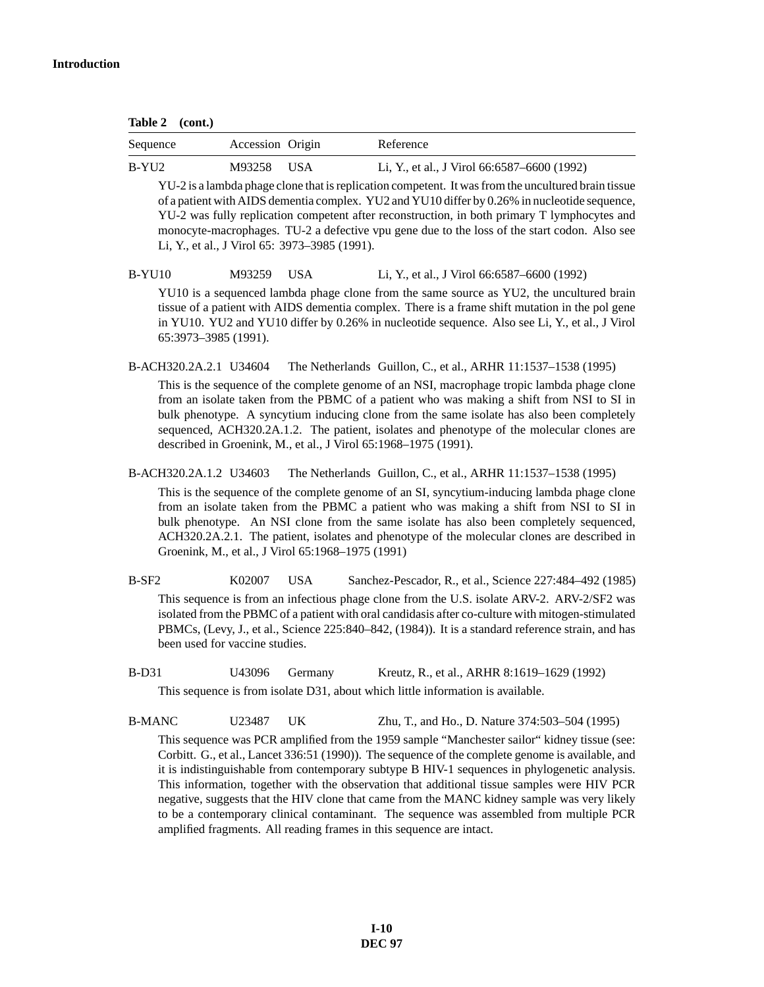**Table 2 (cont.)**

| Sequence | Accession Origin |       | Reference                                   |
|----------|------------------|-------|---------------------------------------------|
| B-YU2    | M93258           | - USA | Li, Y., et al., J Virol 66:6587–6600 (1992) |

YU-2 is a lambda phage clone that is replication competent. It was from the uncultured brain tissue of a patient with AIDS dementia complex. YU2 and YU10 differ by 0.26% in nucleotide sequence, YU-2 was fully replication competent after reconstruction, in both primary T lymphocytes and monocyte-macrophages. TU-2 a defective vpu gene due to the loss of the start codon. Also see Li, Y., et al., J Virol 65: 3973–3985 (1991).

## B-YU10 M93259 USA Li, Y., et al., J Virol 66:6587–6600 (1992)

YU10 is a sequenced lambda phage clone from the same source as YU2, the uncultured brain tissue of a patient with AIDS dementia complex. There is a frame shift mutation in the pol gene in YU10. YU2 and YU10 differ by 0.26% in nucleotide sequence. Also see Li, Y., et al., J Virol 65:3973–3985 (1991).

B-ACH320.2A.2.1 U34604 The Netherlands Guillon, C., et al., ARHR 11:1537–1538 (1995)

This is the sequence of the complete genome of an NSI, macrophage tropic lambda phage clone from an isolate taken from the PBMC of a patient who was making a shift from NSI to SI in bulk phenotype. A syncytium inducing clone from the same isolate has also been completely sequenced, ACH320.2A.1.2. The patient, isolates and phenotype of the molecular clones are described in Groenink, M., et al., J Virol 65:1968–1975 (1991).

B-ACH320.2A.1.2 U34603 The Netherlands Guillon, C., et al., ARHR 11:1537–1538 (1995)

This is the sequence of the complete genome of an SI, syncytium-inducing lambda phage clone from an isolate taken from the PBMC a patient who was making a shift from NSI to SI in bulk phenotype. An NSI clone from the same isolate has also been completely sequenced, ACH320.2A.2.1. The patient, isolates and phenotype of the molecular clones are described in Groenink, M., et al., J Virol 65:1968–1975 (1991)

B-SF2 K02007 USA Sanchez-Pescador, R., et al., Science 227:484–492 (1985) This sequence is from an infectious phage clone from the U.S. isolate ARV-2. ARV-2/SF2 was isolated from the PBMC of a patient with oral candidasis after co-culture with mitogen-stimulated PBMCs, (Levy, J., et al., Science 225:840–842, (1984)). It is a standard reference strain, and has been used for vaccine studies.

B-D31 U43096 Germany Kreutz, R., et al., ARHR 8:1619–1629 (1992)

This sequence is from isolate D31, about which little information is available.

B-MANC U23487 UK Zhu, T., and Ho., D. Nature 374:503–504 (1995)

This sequence was PCR amplified from the 1959 sample "Manchester sailor" kidney tissue (see: Corbitt. G., et al., Lancet 336:51 (1990)). The sequence of the complete genome is available, and it is indistinguishable from contemporary subtype B HIV-1 sequences in phylogenetic analysis. This information, together with the observation that additional tissue samples were HIV PCR negative, suggests that the HIV clone that came from the MANC kidney sample was very likely to be a contemporary clinical contaminant. The sequence was assembled from multiple PCR amplified fragments. All reading frames in this sequence are intact.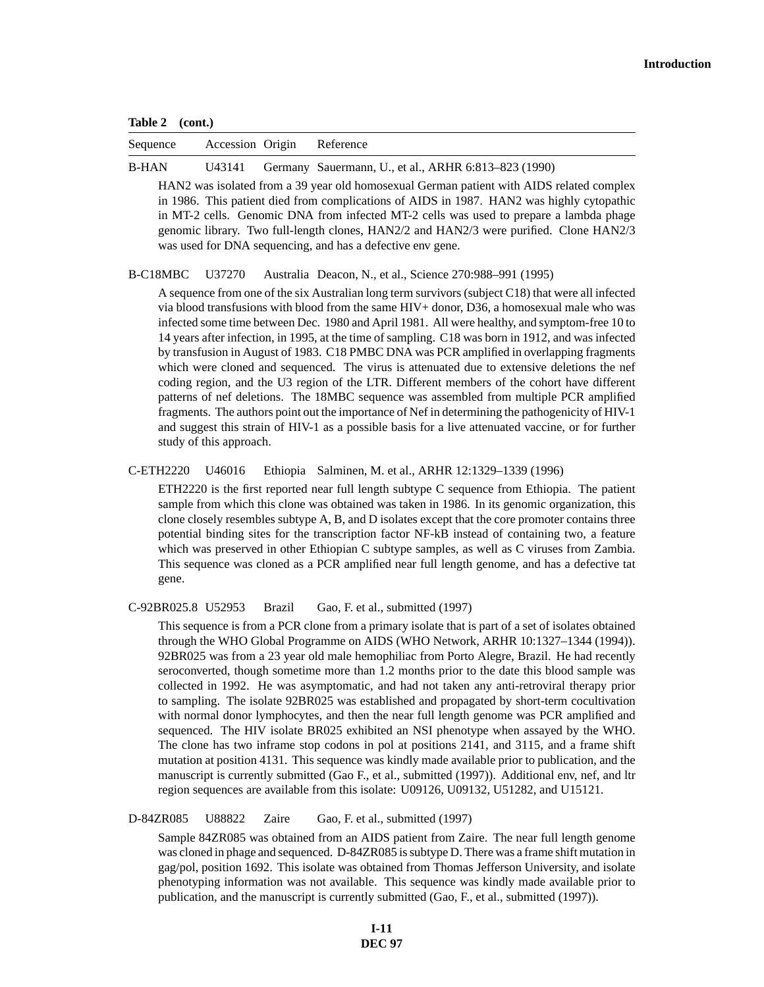**Table 2 (cont.)**

| Sequence     |  | Accession Origin Reference                                  |
|--------------|--|-------------------------------------------------------------|
| <b>B-HAN</b> |  | U43141 Germany Sauermann, U., et al., ARHR 6:813–823 (1990) |

HAN2 was isolated from a 39 year old homosexual German patient with AIDS related complex in 1986. This patient died from complications of AIDS in 1987. HAN2 was highly cytopathic in MT-2 cells. Genomic DNA from infected MT-2 cells was used to prepare a lambda phage genomic library. Two full-length clones, HAN2/2 and HAN2/3 were purified. Clone HAN2/3 was used for DNA sequencing, and has a defective env gene.

B-C18MBC U37270 Australia Deacon, N., et al., Science 270:988–991 (1995)

A sequence from one of the six Australian long term survivors (subject C18) that were all infected via blood transfusions with blood from the same HIV+ donor, D36, a homosexual male who was infected some time between Dec. 1980 and April 1981. All were healthy, and symptom-free 10 to 14 years after infection, in 1995, at the time of sampling. C18 was born in 1912, and was infected by transfusion in August of 1983. C18 PMBC DNA was PCR amplified in overlapping fragments which were cloned and sequenced. The virus is attenuated due to extensive deletions the nef coding region, and the U3 region of the LTR. Different members of the cohort have different patterns of nef deletions. The 18MBC sequence was assembled from multiple PCR amplified fragments. The authors point out the importance of Nef in determining the pathogenicity of HIV-1 and suggest this strain of HIV-1 as a possible basis for a live attenuated vaccine, or for further study of this approach.

C-ETH2220 U46016 Ethiopia Salminen, M. et al., ARHR 12:1329–1339 (1996)

ETH2220 is the first reported near full length subtype C sequence from Ethiopia. The patient sample from which this clone was obtained was taken in 1986. In its genomic organization, this clone closely resembles subtype A, B, and D isolates except that the core promoter contains three potential binding sites for the transcription factor NF-kB instead of containing two, a feature which was preserved in other Ethiopian C subtype samples, as well as C viruses from Zambia. This sequence was cloned as a PCR amplified near full length genome, and has a defective tat gene.

C-92BR025.8 U52953 Brazil Gao, F. et al., submitted (1997)

This sequence is from a PCR clone from a primary isolate that is part of a set of isolates obtained through the WHO Global Programme on AIDS (WHO Network, ARHR 10:1327–1344 (1994)). 92BR025 was from a 23 year old male hemophiliac from Porto Alegre, Brazil. He had recently seroconverted, though sometime more than 1.2 months prior to the date this blood sample was collected in 1992. He was asymptomatic, and had not taken any anti-retroviral therapy prior to sampling. The isolate 92BR025 was established and propagated by short-term cocultivation with normal donor lymphocytes, and then the near full length genome was PCR amplified and sequenced. The HIV isolate BR025 exhibited an NSI phenotype when assayed by the WHO. The clone has two inframe stop codons in pol at positions 2141, and 3115, and a frame shift mutation at position 4131. This sequence was kindly made available prior to publication, and the manuscript is currently submitted (Gao F., et al., submitted (1997)). Additional env, nef, and ltr region sequences are available from this isolate: U09126, U09132, U51282, and U15121.

D-84ZR085 U88822 Zaire Gao, F. et al., submitted (1997)

Sample 84ZR085 was obtained from an AIDS patient from Zaire. The near full length genome was cloned in phage and sequenced. D-84ZR085 is subtype D. There was a frame shift mutation in gag/pol, position 1692. This isolate was obtained from Thomas Jefferson University, and isolate phenotyping information was not available. This sequence was kindly made available prior to publication, and the manuscript is currently submitted (Gao, F., et al., submitted (1997)).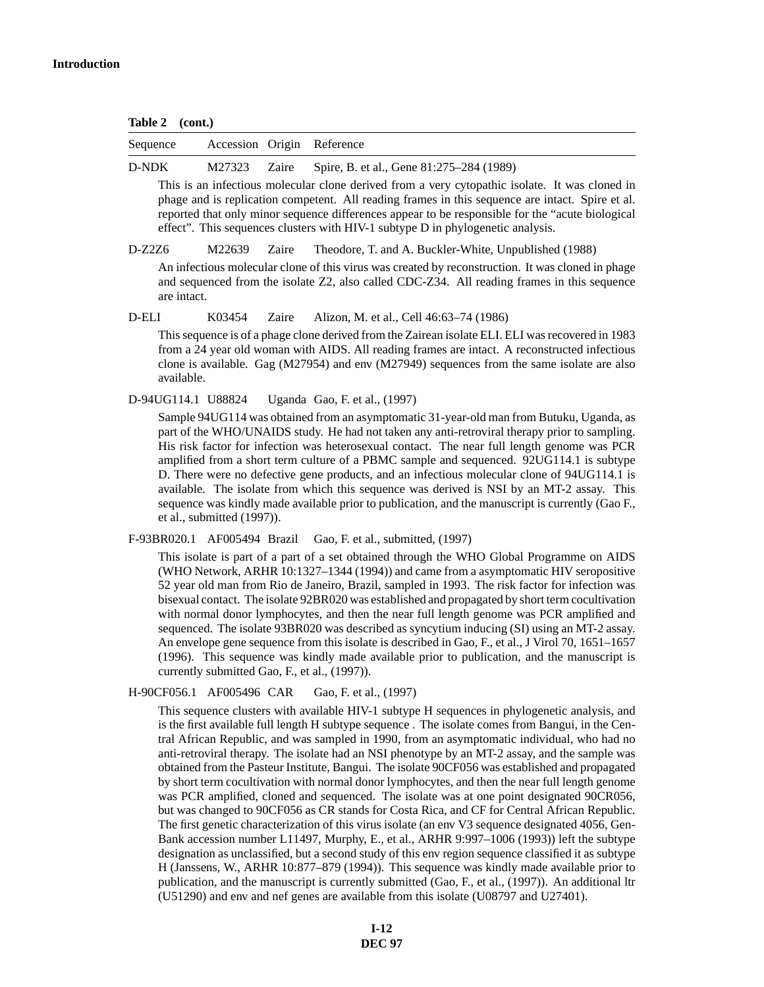**Table 2 (cont.)**

| Sequence | Accession Origin Reference |                                                       |
|----------|----------------------------|-------------------------------------------------------|
| D-NDK    |                            | M27323 Zaire Spire, B. et al., Gene 81:275–284 (1989) |
|          |                            |                                                       |

This is an infectious molecular clone derived from a very cytopathic isolate. It was cloned in phage and is replication competent. All reading frames in this sequence are intact. Spire et al. reported that only minor sequence differences appear to be responsible for the "acute biological effect". This sequences clusters with HIV-1 subtype D in phylogenetic analysis.

D-Z2Z6 M22639 Zaire Theodore, T. and A. Buckler-White, Unpublished (1988)

An infectious molecular clone of this virus was created by reconstruction. It was cloned in phage and sequenced from the isolate Z2, also called CDC-Z34. All reading frames in this sequence are intact.

D-ELI K03454 Zaire Alizon, M. et al., Cell 46:63–74 (1986)

This sequence is of a phage clone derived from the Zairean isolate ELI. ELI was recovered in 1983 from a 24 year old woman with AIDS. All reading frames are intact. A reconstructed infectious clone is available. Gag (M27954) and env (M27949) sequences from the same isolate are also available.

D-94UG114.1 U88824 Uganda Gao, F. et al., (1997)

Sample 94UG114 was obtained from an asymptomatic 31-year-old man from Butuku, Uganda, as part of the WHO/UNAIDS study. He had not taken any anti-retroviral therapy prior to sampling. His risk factor for infection was heterosexual contact. The near full length genome was PCR amplified from a short term culture of a PBMC sample and sequenced. 92UG114.1 is subtype D. There were no defective gene products, and an infectious molecular clone of 94UG114.1 is available. The isolate from which this sequence was derived is NSI by an MT-2 assay. This sequence was kindly made available prior to publication, and the manuscript is currently (Gao F., et al., submitted (1997)).

F-93BR020.1 AF005494 Brazil Gao, F. et al., submitted, (1997)

This isolate is part of a part of a set obtained through the WHO Global Programme on AIDS (WHO Network, ARHR 10:1327–1344 (1994)) and came from a asymptomatic HIV seropositive 52 year old man from Rio de Janeiro, Brazil, sampled in 1993. The risk factor for infection was bisexual contact. The isolate 92BR020 was established and propagated by short term cocultivation with normal donor lymphocytes, and then the near full length genome was PCR amplified and sequenced. The isolate 93BR020 was described as syncytium inducing (SI) using an MT-2 assay. An envelope gene sequence from this isolate is described in Gao, F., et al., J Virol 70, 1651–1657 (1996). This sequence was kindly made available prior to publication, and the manuscript is currently submitted Gao, F., et al., (1997)).

H-90CF056.1 AF005496 CAR Gao, F. et al., (1997)

This sequence clusters with available HIV-1 subtype H sequences in phylogenetic analysis, and is the first available full length H subtype sequence . The isolate comes from Bangui, in the Central African Republic, and was sampled in 1990, from an asymptomatic individual, who had no anti-retroviral therapy. The isolate had an NSI phenotype by an MT-2 assay, and the sample was obtained from the Pasteur Institute, Bangui. The isolate 90CF056 was established and propagated by short term cocultivation with normal donor lymphocytes, and then the near full length genome was PCR amplified, cloned and sequenced. The isolate was at one point designated 90CR056, but was changed to 90CF056 as CR stands for Costa Rica, and CF for Central African Republic. The first genetic characterization of this virus isolate (an env V3 sequence designated 4056, Gen-Bank accession number L11497, Murphy, E., et al., ARHR 9:997–1006 (1993)) left the subtype designation as unclassified, but a second study of this env region sequence classified it as subtype H (Janssens, W., ARHR 10:877–879 (1994)). This sequence was kindly made available prior to publication, and the manuscript is currently submitted (Gao, F., et al., (1997)). An additional ltr (U51290) and env and nef genes are available from this isolate (U08797 and U27401).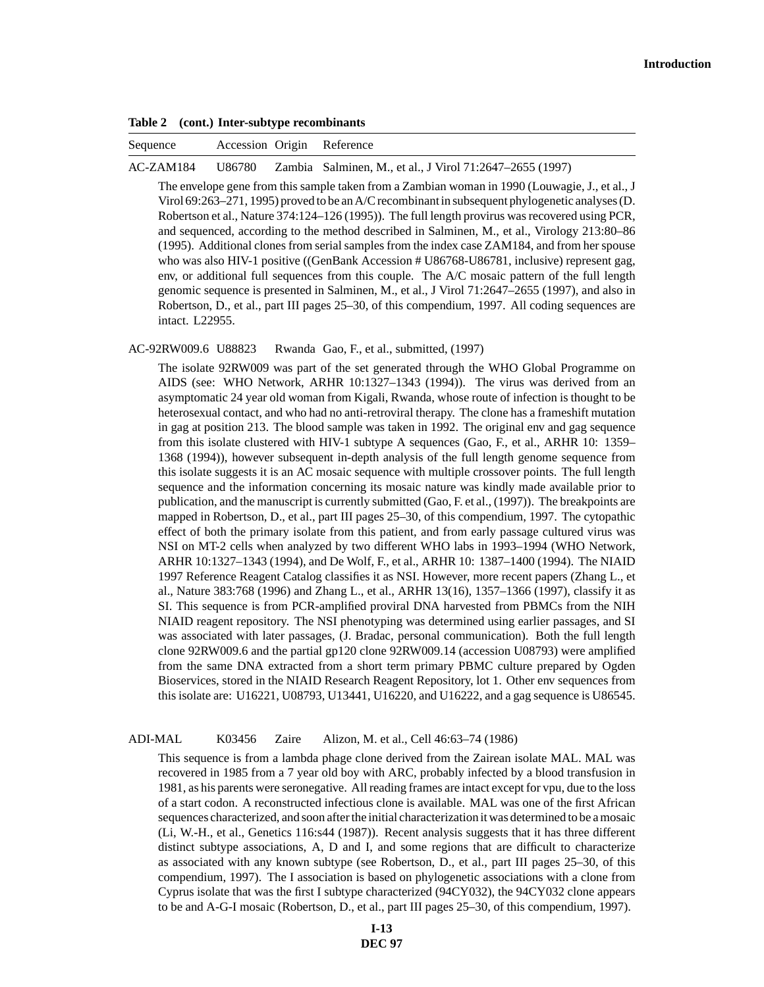**Table 2 (cont.) Inter-subtype recombinants**

| Sequence | Accession Origin Reference |  |
|----------|----------------------------|--|
|          |                            |  |

AC-ZAM184 U86780 Zambia Salminen, M., et al., J Virol 71:2647–2655 (1997)

The envelope gene from this sample taken from a Zambian woman in 1990 (Louwagie, J., et al., J Virol 69:263–271, 1995) proved to be an A/C recombinant in subsequent phylogenetic analyses (D. Robertson et al., Nature 374:124–126 (1995)). The full length provirus was recovered using PCR, and sequenced, according to the method described in Salminen, M., et al., Virology 213:80–86 (1995). Additional clones from serial samples from the index case ZAM184, and from her spouse who was also HIV-1 positive ((GenBank Accession # U86768-U86781, inclusive) represent gag, env, or additional full sequences from this couple. The A/C mosaic pattern of the full length genomic sequence is presented in Salminen, M., et al., J Virol 71:2647–2655 (1997), and also in Robertson, D., et al., part III pages 25–30, of this compendium, 1997. All coding sequences are intact. L22955.

AC-92RW009.6 U88823 Rwanda Gao, F., et al., submitted, (1997)

The isolate 92RW009 was part of the set generated through the WHO Global Programme on AIDS (see: WHO Network, ARHR 10:1327–1343 (1994)). The virus was derived from an asymptomatic 24 year old woman from Kigali, Rwanda, whose route of infection is thought to be heterosexual contact, and who had no anti-retroviral therapy. The clone has a frameshift mutation in gag at position 213. The blood sample was taken in 1992. The original env and gag sequence from this isolate clustered with HIV-1 subtype A sequences (Gao, F., et al., ARHR 10: 1359– 1368 (1994)), however subsequent in-depth analysis of the full length genome sequence from this isolate suggests it is an AC mosaic sequence with multiple crossover points. The full length sequence and the information concerning its mosaic nature was kindly made available prior to publication, and the manuscript is currently submitted (Gao, F. et al., (1997)). The breakpoints are mapped in Robertson, D., et al., part III pages 25–30, of this compendium, 1997. The cytopathic effect of both the primary isolate from this patient, and from early passage cultured virus was NSI on MT-2 cells when analyzed by two different WHO labs in 1993–1994 (WHO Network, ARHR 10:1327–1343 (1994), and De Wolf, F., et al., ARHR 10: 1387–1400 (1994). The NIAID 1997 Reference Reagent Catalog classifies it as NSI. However, more recent papers (Zhang L., et al., Nature 383:768 (1996) and Zhang L., et al., ARHR 13(16), 1357–1366 (1997), classify it as SI. This sequence is from PCR-amplified proviral DNA harvested from PBMCs from the NIH NIAID reagent repository. The NSI phenotyping was determined using earlier passages, and SI was associated with later passages, (J. Bradac, personal communication). Both the full length clone 92RW009.6 and the partial gp120 clone 92RW009.14 (accession U08793) were amplified from the same DNA extracted from a short term primary PBMC culture prepared by Ogden Bioservices, stored in the NIAID Research Reagent Repository, lot 1. Other env sequences from this isolate are: U16221, U08793, U13441, U16220, and U16222, and a gag sequence is U86545.

ADI-MAL K03456 Zaire Alizon, M. et al., Cell 46:63–74 (1986)

This sequence is from a lambda phage clone derived from the Zairean isolate MAL. MAL was recovered in 1985 from a 7 year old boy with ARC, probably infected by a blood transfusion in 1981, as his parents were seronegative. All reading frames are intact except for vpu, due to the loss of a start codon. A reconstructed infectious clone is available. MAL was one of the first African sequences characterized, and soon after the initial characterization it was determined to be a mosaic (Li, W.-H., et al., Genetics 116:s44 (1987)). Recent analysis suggests that it has three different distinct subtype associations, A, D and I, and some regions that are difficult to characterize as associated with any known subtype (see Robertson, D., et al., part III pages 25–30, of this compendium, 1997). The I association is based on phylogenetic associations with a clone from Cyprus isolate that was the first I subtype characterized (94CY032), the 94CY032 clone appears to be and A-G-I mosaic (Robertson, D., et al., part III pages 25–30, of this compendium, 1997).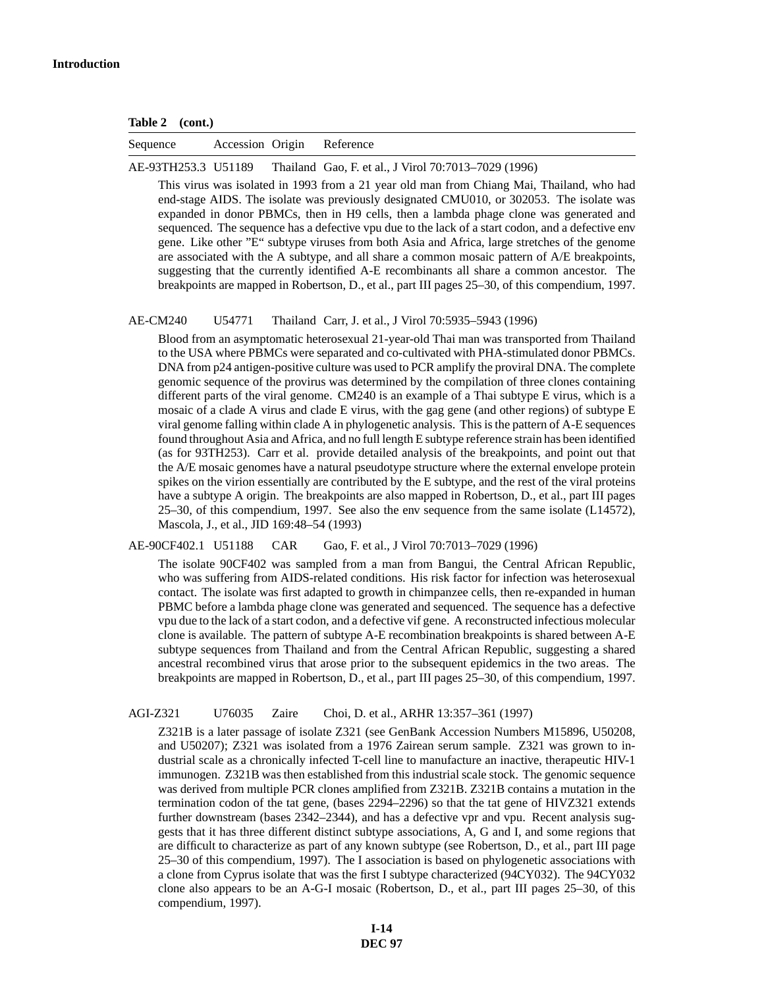| Table 2 | (cont.) |
|---------|---------|
|---------|---------|

| Sequence | Accession Origin Reference |  |
|----------|----------------------------|--|
|          |                            |  |

AE-93TH253.3 U51189 Thailand Gao, F. et al., J Virol 70:7013–7029 (1996)

This virus was isolated in 1993 from a 21 year old man from Chiang Mai, Thailand, who had end-stage AIDS. The isolate was previously designated CMU010, or 302053. The isolate was expanded in donor PBMCs, then in H9 cells, then a lambda phage clone was generated and sequenced. The sequence has a defective vpu due to the lack of a start codon, and a defective env gene. Like other "E" subtype viruses from both Asia and Africa, large stretches of the genome are associated with the A subtype, and all share a common mosaic pattern of A/E breakpoints, suggesting that the currently identified A-E recombinants all share a common ancestor. The breakpoints are mapped in Robertson, D., et al., part III pages 25–30, of this compendium, 1997.

AE-CM240 U54771 Thailand Carr, J. et al., J Virol 70:5935–5943 (1996)

Blood from an asymptomatic heterosexual 21-year-old Thai man was transported from Thailand to the USA where PBMCs were separated and co-cultivated with PHA-stimulated donor PBMCs. DNA from p24 antigen-positive culture was used to PCR amplify the proviral DNA. The complete genomic sequence of the provirus was determined by the compilation of three clones containing different parts of the viral genome. CM240 is an example of a Thai subtype E virus, which is a mosaic of a clade A virus and clade E virus, with the gag gene (and other regions) of subtype E viral genome falling within clade A in phylogenetic analysis. This is the pattern of A-E sequences found throughout Asia and Africa, and no full length E subtype reference strain has been identified (as for 93TH253). Carr et al. provide detailed analysis of the breakpoints, and point out that the A/E mosaic genomes have a natural pseudotype structure where the external envelope protein spikes on the virion essentially are contributed by the E subtype, and the rest of the viral proteins have a subtype A origin. The breakpoints are also mapped in Robertson, D., et al., part III pages 25–30, of this compendium, 1997. See also the env sequence from the same isolate (L14572), Mascola, J., et al., JID 169:48–54 (1993)

AE-90CF402.1 U51188 CAR Gao, F. et al., J Virol 70:7013–7029 (1996)

The isolate 90CF402 was sampled from a man from Bangui, the Central African Republic, who was suffering from AIDS-related conditions. His risk factor for infection was heterosexual contact. The isolate was first adapted to growth in chimpanzee cells, then re-expanded in human PBMC before a lambda phage clone was generated and sequenced. The sequence has a defective vpu due to the lack of a start codon, and a defective vif gene. A reconstructed infectious molecular clone is available. The pattern of subtype A-E recombination breakpoints is shared between A-E subtype sequences from Thailand and from the Central African Republic, suggesting a shared ancestral recombined virus that arose prior to the subsequent epidemics in the two areas. The breakpoints are mapped in Robertson, D., et al., part III pages 25–30, of this compendium, 1997.

AGI-Z321 U76035 Zaire Choi, D. et al., ARHR 13:357–361 (1997)

Z321B is a later passage of isolate Z321 (see GenBank Accession Numbers M15896, U50208, and U50207); Z321 was isolated from a 1976 Zairean serum sample. Z321 was grown to industrial scale as a chronically infected T-cell line to manufacture an inactive, therapeutic HIV-1 immunogen. Z321B was then established from this industrial scale stock. The genomic sequence was derived from multiple PCR clones amplified from Z321B. Z321B contains a mutation in the termination codon of the tat gene, (bases 2294–2296) so that the tat gene of HIVZ321 extends further downstream (bases 2342–2344), and has a defective vpr and vpu. Recent analysis suggests that it has three different distinct subtype associations, A, G and I, and some regions that are difficult to characterize as part of any known subtype (see Robertson, D., et al., part III page 25–30 of this compendium, 1997). The I association is based on phylogenetic associations with a clone from Cyprus isolate that was the first I subtype characterized (94CY032). The 94CY032 clone also appears to be an A-G-I mosaic (Robertson, D., et al., part III pages 25–30, of this compendium, 1997).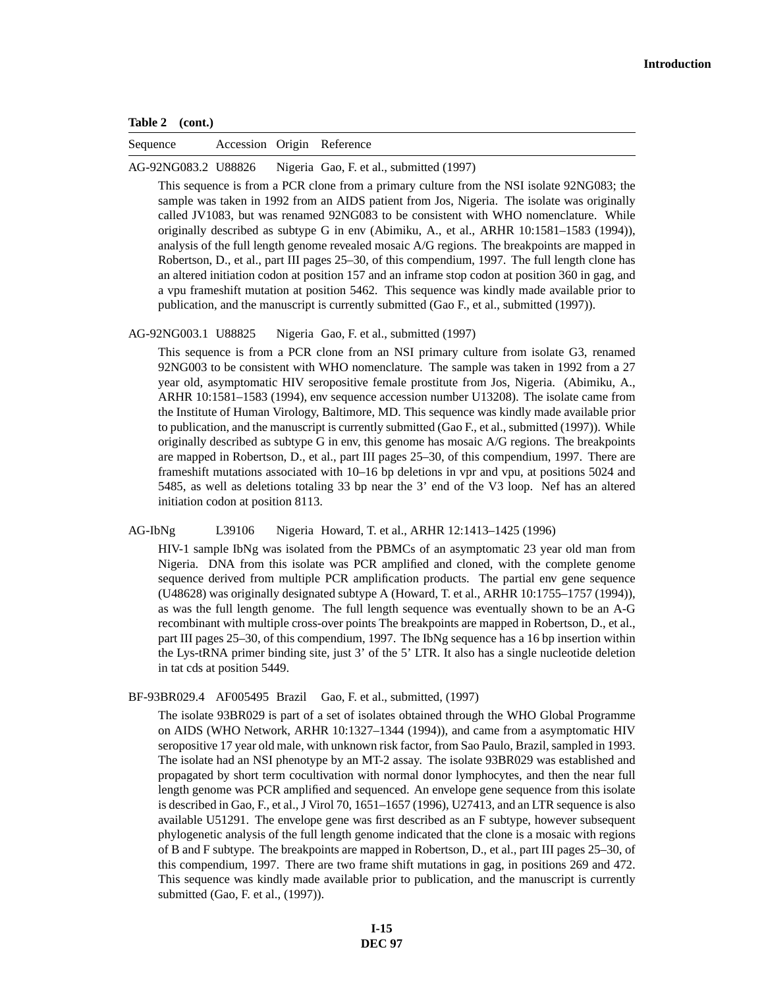| Table 2 | (cont.) |
|---------|---------|
|---------|---------|

Sequence Accession Origin Reference

AG-92NG083.2 U88826 Nigeria Gao, F. et al., submitted (1997)

This sequence is from a PCR clone from a primary culture from the NSI isolate 92NG083; the sample was taken in 1992 from an AIDS patient from Jos, Nigeria. The isolate was originally called JV1083, but was renamed 92NG083 to be consistent with WHO nomenclature. While originally described as subtype G in env (Abimiku, A., et al., ARHR 10:1581–1583 (1994)), analysis of the full length genome revealed mosaic A/G regions. The breakpoints are mapped in Robertson, D., et al., part III pages 25–30, of this compendium, 1997. The full length clone has an altered initiation codon at position 157 and an inframe stop codon at position 360 in gag, and a vpu frameshift mutation at position 5462. This sequence was kindly made available prior to publication, and the manuscript is currently submitted (Gao F., et al., submitted (1997)).

AG-92NG003.1 U88825 Nigeria Gao, F. et al., submitted (1997)

This sequence is from a PCR clone from an NSI primary culture from isolate G3, renamed 92NG003 to be consistent with WHO nomenclature. The sample was taken in 1992 from a 27 year old, asymptomatic HIV seropositive female prostitute from Jos, Nigeria. (Abimiku, A., ARHR 10:1581–1583 (1994), env sequence accession number U13208). The isolate came from the Institute of Human Virology, Baltimore, MD. This sequence was kindly made available prior to publication, and the manuscript is currently submitted (Gao F., et al., submitted (1997)). While originally described as subtype G in env, this genome has mosaic A/G regions. The breakpoints are mapped in Robertson, D., et al., part III pages 25–30, of this compendium, 1997. There are frameshift mutations associated with 10–16 bp deletions in vpr and vpu, at positions 5024 and 5485, as well as deletions totaling 33 bp near the 3' end of the V3 loop. Nef has an altered initiation codon at position 8113.

### AG-IbNg L39106 Nigeria Howard, T. et al., ARHR 12:1413–1425 (1996)

HIV-1 sample IbNg was isolated from the PBMCs of an asymptomatic 23 year old man from Nigeria. DNA from this isolate was PCR amplified and cloned, with the complete genome sequence derived from multiple PCR amplification products. The partial env gene sequence (U48628) was originally designated subtype A (Howard, T. et al., ARHR 10:1755–1757 (1994)), as was the full length genome. The full length sequence was eventually shown to be an A-G recombinant with multiple cross-over points The breakpoints are mapped in Robertson, D., et al., part III pages 25–30, of this compendium, 1997. The IbNg sequence has a 16 bp insertion within the Lys-tRNA primer binding site, just 3' of the 5' LTR. It also has a single nucleotide deletion in tat cds at position 5449.

BF-93BR029.4 AF005495 Brazil Gao, F. et al., submitted, (1997)

The isolate 93BR029 is part of a set of isolates obtained through the WHO Global Programme on AIDS (WHO Network, ARHR 10:1327–1344 (1994)), and came from a asymptomatic HIV seropositive 17 year old male, with unknown risk factor, from Sao Paulo, Brazil, sampled in 1993. The isolate had an NSI phenotype by an MT-2 assay. The isolate 93BR029 was established and propagated by short term cocultivation with normal donor lymphocytes, and then the near full length genome was PCR amplified and sequenced. An envelope gene sequence from this isolate is described in Gao, F., et al., J Virol 70, 1651–1657 (1996), U27413, and an LTR sequence is also available U51291. The envelope gene was first described as an F subtype, however subsequent phylogenetic analysis of the full length genome indicated that the clone is a mosaic with regions of B and F subtype. The breakpoints are mapped in Robertson, D., et al., part III pages 25–30, of this compendium, 1997. There are two frame shift mutations in gag, in positions 269 and 472. This sequence was kindly made available prior to publication, and the manuscript is currently submitted (Gao, F. et al., (1997)).